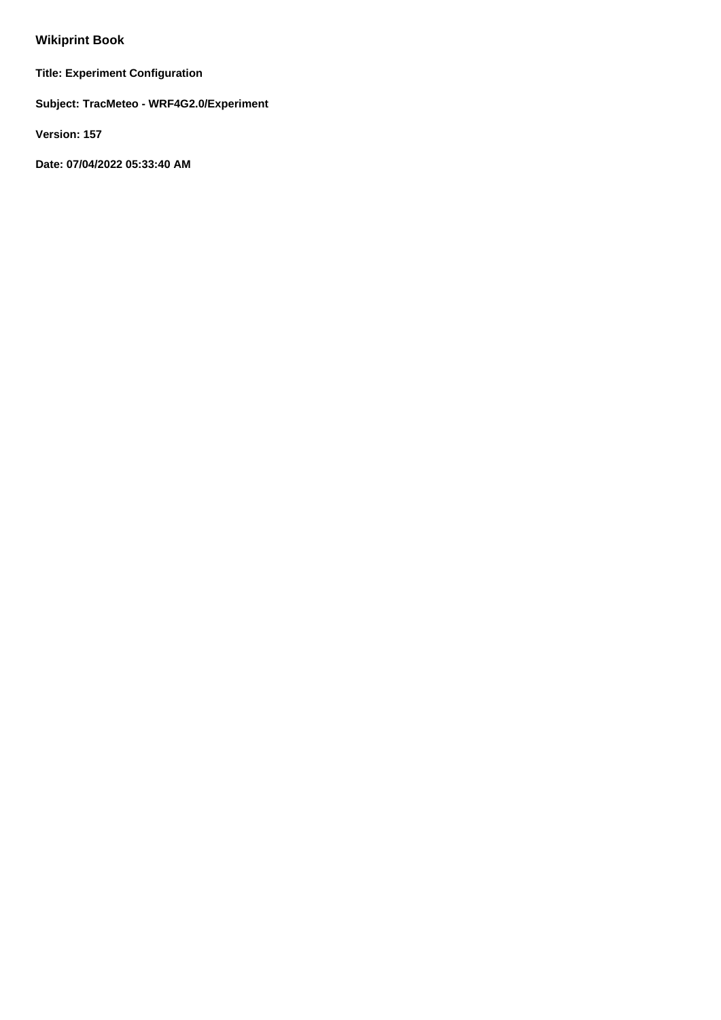# **Wikiprint Book**

**Title: Experiment Configuration**

**Subject: TracMeteo - WRF4G2.0/Experiment**

**Version: 157**

**Date: 07/04/2022 05:33:40 AM**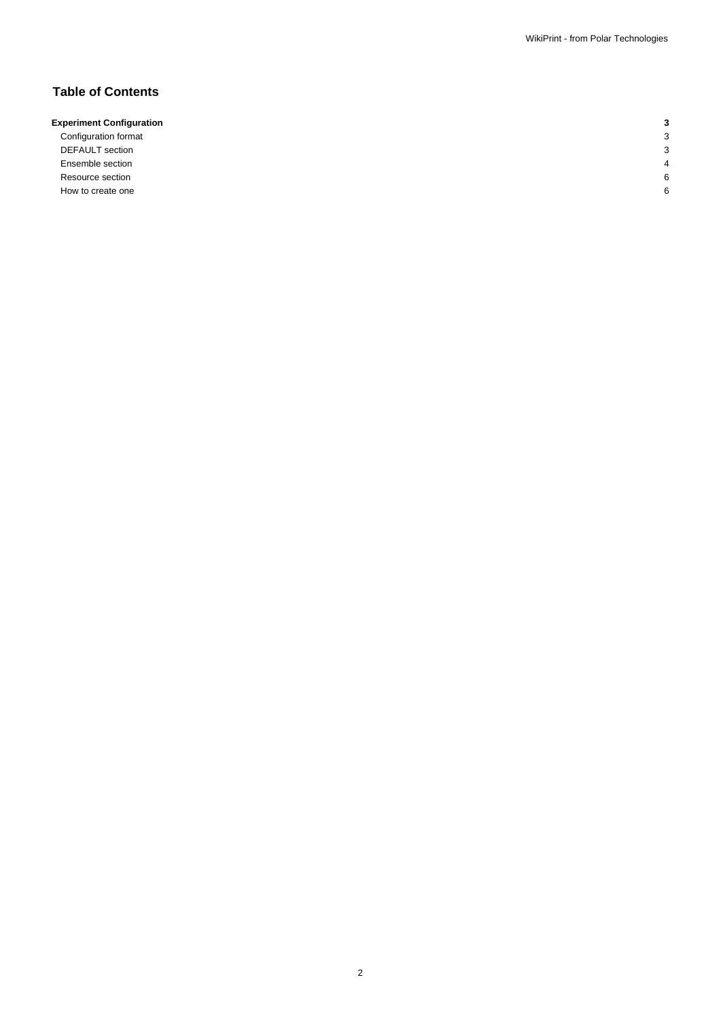# **Table of Contents**

## **Experiment Configuration 3**

Configuration format 3 DEFAULT section 3 **Ensemble section** 4 **4** Resource section 6 and  $\sim$  6 and  $\sim$  6 and  $\sim$  6 and  $\sim$  6 and  $\sim$  6 and  $\sim$  6 and  $\sim$  6 and  $\sim$  6 and  $\sim$  6 and  $\sim$  6 and  $\sim$  6 and  $\sim$  6 and  $\sim$  6 and  $\sim$  6 and  $\sim$  6 and  $\sim$  6 and  $\sim$  6 and  $\sim$  6 and How to create one 6 and 1 and 1 and 1 and 1 and 1 and 1 and 1 and 1 and 1 and 1 and 1 and 1 and 1 and 1 and 1 and 1 and 1 and 1 and 1 and 1 and 1 and 1 and 1 and 1 and 1 and 1 and 1 and 1 and 1 and 1 and 1 and 1 and 1 and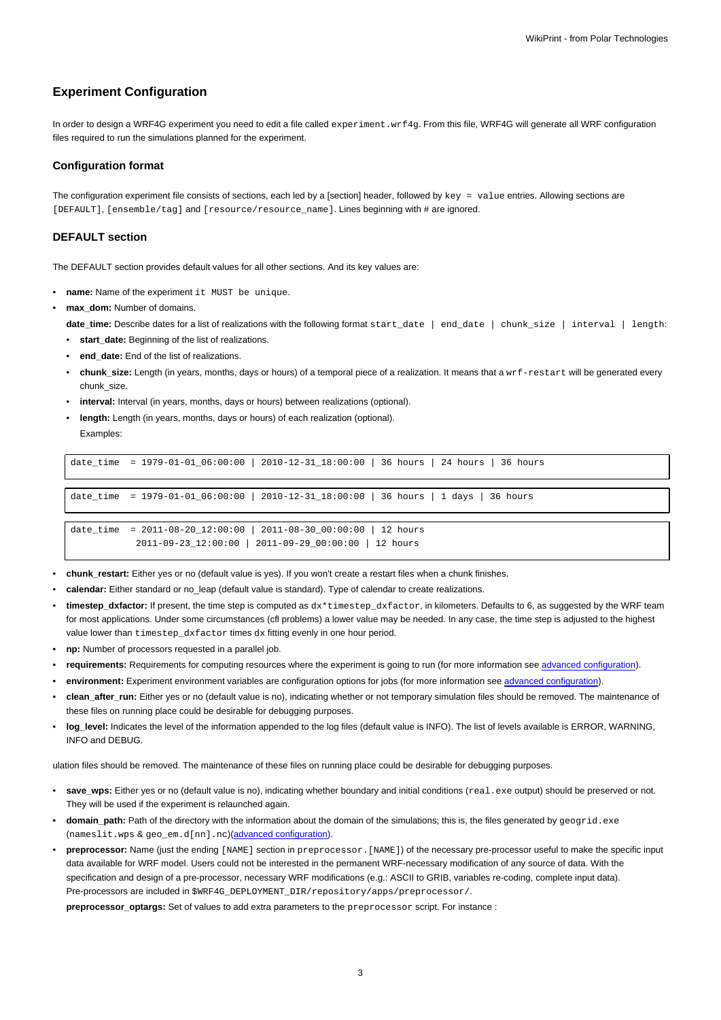### **Experiment Configuration**

In order to design a WRF4G experiment you need to edit a file called experiment.wrf4g. From this file, WRF4G will generate all WRF configuration files required to run the simulations planned for the experiment.

#### **Configuration format**

The configuration experiment file consists of sections, each led by a [section] header, followed by key = value entries. Allowing sections are [DEFAULT], [ensemble/tag] and [resource/resource\_name]. Lines beginning with # are ignored.

#### **DEFAULT section**

The DEFAULT section provides default values for all other sections. And its key values are:

- **name:** Name of the experiment it MUST be unique.
- max\_dom: Number of domains.

**date\_time:** Describe dates for a list of realizations with the following format start\_date | end\_date | chunk\_size | interval | length:

- start date: Beginning of the list of realizations.
- **end\_date:** End of the list of realizations.
- **chunk\_size:** Length (in years, months, days or hours) of a temporal piece of a realization. It means that a wrf-restart will be generated every chunk\_size.
- **interval:** Interval (in years, months, days or hours) between realizations (optional).
- **length:** Length (in years, months, days or hours) of each realization (optional).

Examples:

| date time = 1979-01-01 06:00:00   2010-12-31 18:00:00   36 hours   24 hours   36 hours                                       |
|------------------------------------------------------------------------------------------------------------------------------|
|                                                                                                                              |
|                                                                                                                              |
| date_time = $1979-01-01-06:00:00$   2010-12-31_18:00:00   36 hours   1 days   36 hours                                       |
|                                                                                                                              |
| date time = $2011-08-20-12:00:00$   $2011-08-30-00:00:00$   12 hours<br>2011-09-23 12:00:00   2011-09-29 00:00:00   12 hours |

- **chunk\_restart:** Either yes or no (default value is yes). If you won't create a restart files when a chunk finishes.
- **calendar:** Either standard or no\_leap (default value is standard). Type of calendar to create realizations.
- timestep dxfactor: If present, the time step is computed as dx\*timestep dxfactor, in kilometers. Defaults to 6, as suggested by the WRF team for most applications. Under some circumstances (cfl problems) a lower value may be needed. In any case, the time step is adjusted to the highest value lower than timestep dxfactor times dx fitting evenly in one hour period.
- **np:** Number of processors requested in a parallel job.
- requirements: Requirements for computing resources where the experiment is going to run (for more information see [advanced configuration\)](https://meteo.unican.es/trac/wiki/WRF4G2.0Resources#RequirementExpressionSyntax).
- environment: Experiment environment variables are configuration options for jobs (for more information see [advanced configuration](https://meteo.unican.es/trac/wiki/WRF4G2.0Resources#EnvironmentExpressionSyntax)).
- **clean\_after\_run:** Either yes or no (default value is no), indicating whether or not temporary simulation files should be removed. The maintenance of these files on running place could be desirable for debugging purposes.
- **log\_level:** Indicates the level of the information appended to the log files (default value is INFO). The list of levels available is ERROR, WARNING, INFO and DEBUG.

ulation files should be removed. The maintenance of these files on running place could be desirable for debugging purposes.

- save wps: Either yes or no (default value is no), indicating whether boundary and initial conditions (real.exe output) should be preserved or not. They will be used if the experiment is relaunched again.
- domain\_path: Path of the directory with the information about the domain of the simulations; this is, the files generated by geogrid.exe (nameslit.wps & geo\_em.d[nn].nc)([advanced configuration](https://meteo.unican.es/trac/wiki/WRF4G2.0/WRF4G2.0Paths)).
- **preprocessor:** Name (just the ending [NAME] section in preprocessor.[NAME]) of the necessary pre-processor useful to make the specific input data available for WRF model. Users could not be interested in the permanent WRF-necessary modification of any source of data. With the specification and design of a pre-processor, necessary WRF modifications (e.g.: ASCII to GRIB, variables re-coding, complete input data). Pre-processors are included in \$WRF4G\_DEPLOYMENT\_DIR/repository/apps/preprocessor/.

**preprocessor\_optargs:** Set of values to add extra parameters to the preprocessor script. For instance :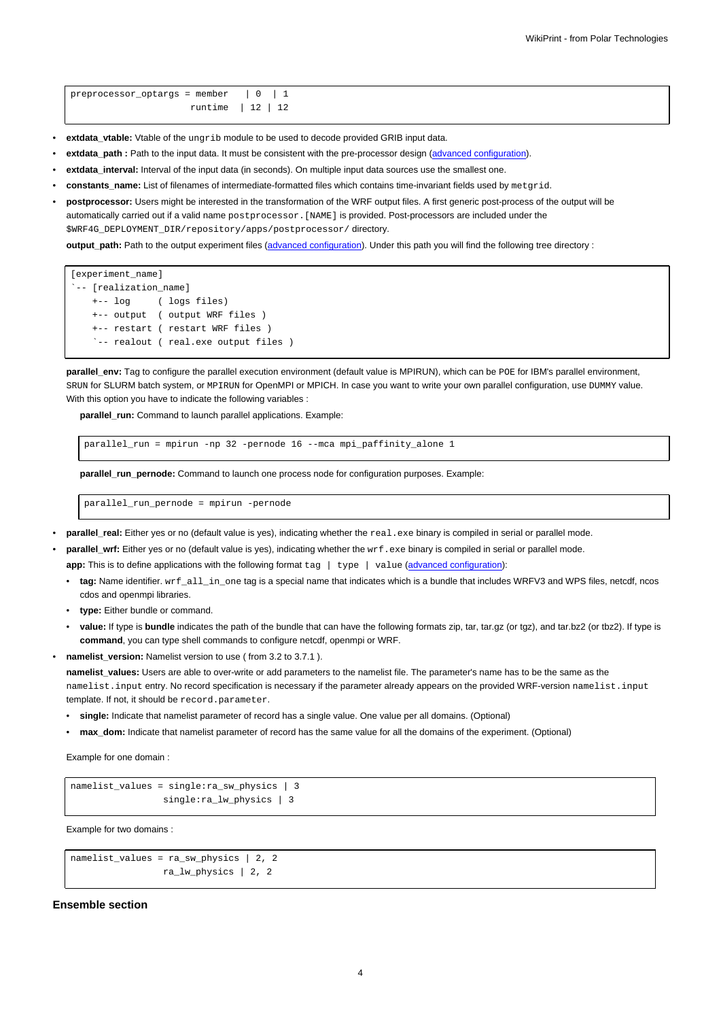- **extdata\_vtable:** Vtable of the ungrib module to be used to decode provided GRIB input data.
- **extdata\_path :** Path to the input data. It must be consistent with the pre-processor design ([advanced configuration\)](https://meteo.unican.es/trac/wiki/WRF4G2.0/WRF4G2.0Paths).
- **extdata\_interval:** Interval of the input data (in seconds). On multiple input data sources use the smallest one.
- **constants\_name:** List of filenames of intermediate-formatted files which contains time-invariant fields used by metgrid.
- **postprocessor:** Users might be interested in the transformation of the WRF output files. A first generic post-process of the output will be automatically carried out if a valid name postprocessor. [NAME] is provided. Post-processors are included under the \$WRF4G\_DEPLOYMENT\_DIR/repository/apps/postprocessor/ directory.

**output\_path:** Path to the output experiment files [\(advanced configuration\)](https://meteo.unican.es/trac/wiki/WRF4G2.0/WRF4G2.0Paths). Under this path you will find the following tree directory :

```
[experiment_name]
`-- [realization_name]
   +-- log ( logs files)
   +-- output ( output WRF files )
   +-- restart ( restart WRF files )
    `-- realout ( real.exe output files )
```
**parallel env:** Tag to configure the parallel execution environment (default value is MPIRUN), which can be POE for IBM's parallel environment, SRUN for SLURM batch system, or MPIRUN for OpenMPI or MPICH. In case you want to write your own parallel configuration, use DUMMY value. With this option you have to indicate the following variables :

parallel run: Command to launch parallel applications. Example:

parallel\_run = mpirun -np 32 -pernode 16 --mca mpi\_paffinity\_alone 1

**parallel\_run\_pernode:** Command to launch one process node for configuration purposes. Example:

parallel\_run\_pernode = mpirun -pernode

#### parallel\_real: Either yes or no (default value is yes), indicating whether the real.exe binary is compiled in serial or parallel mode.

- parallel\_wrf: Either yes or no (default value is yes), indicating whether the wrf.exe binary is compiled in serial or parallel mode. **app:** This is to define applications with the following format tag | type | value [\(advanced configuration\)](https://meteo.unican.es/trac/wiki/WRF4G2.0/WRFAPP):
	- **tag:** Name identifier. wrf\_all\_in\_one tag is a special name that indicates which is a bundle that includes WRFV3 and WPS files, netcdf, ncos cdos and openmpi libraries.
	- **type:** Either bundle or command.
	- **value:** If type is **bundle** indicates the path of the bundle that can have the following formats zip, tar, tar.gz (or tgz), and tar.bz2 (or tbz2). If type is **command**, you can type shell commands to configure netcdf, openmpi or WRF.
- **namelist\_version:** Namelist version to use ( from 3.2 to 3.7.1 ).

namelist values: Users are able to over-write or add parameters to the namelist file. The parameter's name has to be the same as the namelist.input entry. No record specification is necessary if the parameter already appears on the provided WRF-version namelist.input template. If not, it should be record.parameter.

- **single:** Indicate that namelist parameter of record has a single value. One value per all domains. (Optional)
- **max\_dom:** Indicate that namelist parameter of record has the same value for all the domains of the experiment. (Optional)

Example for one domain :

```
namelist_values = single:ra_sw_physics | 3
                 single:ra_lw_physics | 3
```
Example for two domains :

```
namelist_values = ra_sw_physics | 2, 2
                ra lw physics | 2, 2
```
#### **Ensemble section**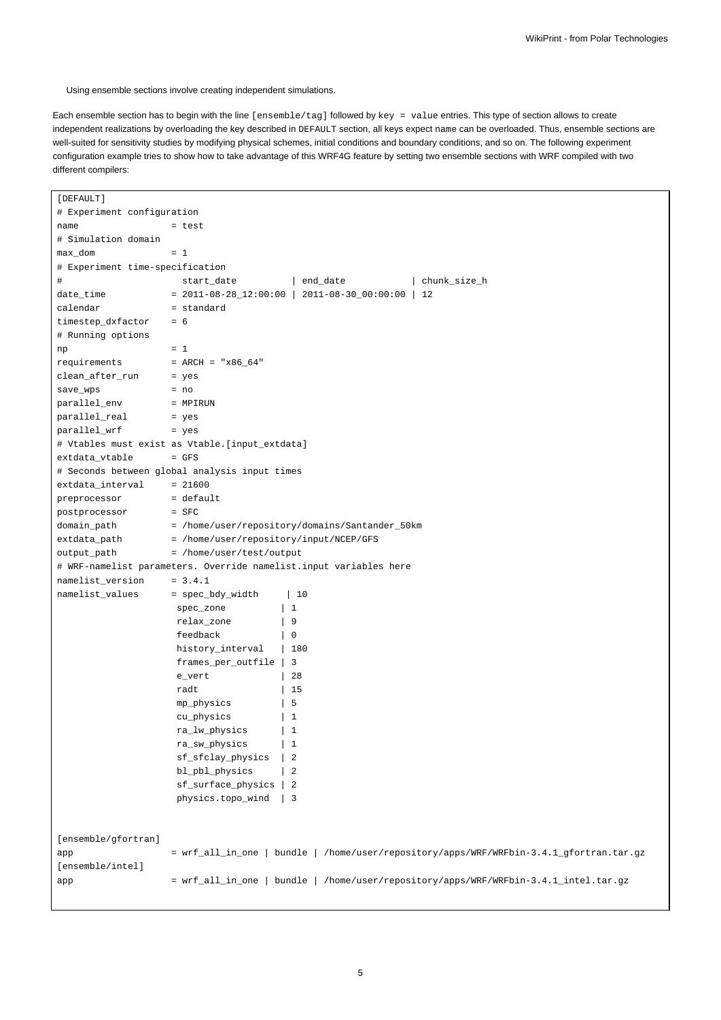Using ensemble sections involve creating independent simulations.

Each ensemble section has to begin with the line [ensemble/tag] followed by key = value entries. This type of section allows to create independent realizations by overloading the key described in DEFAULT section, all keys expect name can be overloaded. Thus, ensemble sections are well-suited for sensitivity studies by modifying physical schemes, initial conditions and boundary conditions, and so on. The following experiment configuration example tries to show how to take advantage of this WRF4G feature by setting two ensemble sections with WRF compiled with two different compilers:

| [DEFAULT]                       |                                                                                          |                                                                                      |  |
|---------------------------------|------------------------------------------------------------------------------------------|--------------------------------------------------------------------------------------|--|
| # Experiment configuration      |                                                                                          |                                                                                      |  |
| name                            | = test                                                                                   |                                                                                      |  |
| # Simulation domain             |                                                                                          |                                                                                      |  |
| max_dom                         | $= 1$                                                                                    |                                                                                      |  |
| # Experiment time-specification |                                                                                          |                                                                                      |  |
| #                               | start_date                                                                               | end_date<br>chunk_size_h                                                             |  |
| date_time                       |                                                                                          | $= 2011 - 08 - 28 - 12:00:00$   2011-08-30-00:00:00<br>12                            |  |
| calendar                        | = standard                                                                               |                                                                                      |  |
| timestep_dxfactor               | $= 6$                                                                                    |                                                                                      |  |
| # Running options               |                                                                                          |                                                                                      |  |
| np                              | $= 1$                                                                                    |                                                                                      |  |
| requirements                    | = $ARCH = "x86_64"$                                                                      |                                                                                      |  |
| clean_after_run                 | = yes                                                                                    |                                                                                      |  |
| save_wps                        | $= no$                                                                                   |                                                                                      |  |
| parallel_env                    | = MPIRUN                                                                                 |                                                                                      |  |
| parallel_real                   | = yes                                                                                    |                                                                                      |  |
| parallel_wrf                    | = yes                                                                                    |                                                                                      |  |
|                                 | # Vtables must exist as Vtable.[input_extdata]                                           |                                                                                      |  |
| extdata_vtable                  | $=$ GFS                                                                                  |                                                                                      |  |
|                                 | # Seconds between global analysis input times                                            |                                                                                      |  |
| extdata_interval                | $= 21600$                                                                                |                                                                                      |  |
| preprocessor                    | = default                                                                                |                                                                                      |  |
| postprocessor                   | $=$ SFC                                                                                  |                                                                                      |  |
| domain_path                     | = /home/user/repository/domains/Santander_50km                                           |                                                                                      |  |
| extdata_path                    | = /home/user/repository/input/NCEP/GFS                                                   |                                                                                      |  |
| output_path                     | = /home/user/test/output                                                                 |                                                                                      |  |
|                                 |                                                                                          | # WRF-namelist parameters. Override namelist.input variables here                    |  |
| namelist_version                | $= 3.4.1$                                                                                |                                                                                      |  |
| namelist_values                 | = spec_bdy_width                                                                         | 10                                                                                   |  |
|                                 | spec_zone                                                                                | 1                                                                                    |  |
|                                 | relax_zone                                                                               | 9                                                                                    |  |
|                                 | feedback                                                                                 | 0                                                                                    |  |
|                                 | history_interval                                                                         | 180                                                                                  |  |
|                                 | frames_per_outfile                                                                       | 3                                                                                    |  |
|                                 | e_vert                                                                                   | 28                                                                                   |  |
|                                 | radt                                                                                     | 15                                                                                   |  |
|                                 | mp_physics                                                                               | 5                                                                                    |  |
|                                 | cu_physics                                                                               | 1                                                                                    |  |
|                                 | ra_lw_physics                                                                            | $\mathbf{1}$                                                                         |  |
|                                 | ra_sw_physics                                                                            | $\mathbf{1}$                                                                         |  |
|                                 | sf_sfclay_physics                                                                        | 2                                                                                    |  |
|                                 | bl_pbl_physics                                                                           | $\overline{2}$                                                                       |  |
|                                 | sf_surface_physics                                                                       | $\overline{2}$                                                                       |  |
|                                 | physics.topo_wind                                                                        | 3                                                                                    |  |
|                                 |                                                                                          |                                                                                      |  |
| [ensemble/gfortran]             |                                                                                          |                                                                                      |  |
| app<br>[ensemble/intel]         | bundle   /home/user/repository/apps/WRF/WRFbin-3.4.1_gfortran.tar.gz<br>= wrf_all_in_one |                                                                                      |  |
|                                 |                                                                                          | = wrf_all_in_one   bundle   /home/user/repository/apps/WRF/WRFbin-3.4.1_intel.tar.gz |  |
| app                             |                                                                                          |                                                                                      |  |
|                                 |                                                                                          |                                                                                      |  |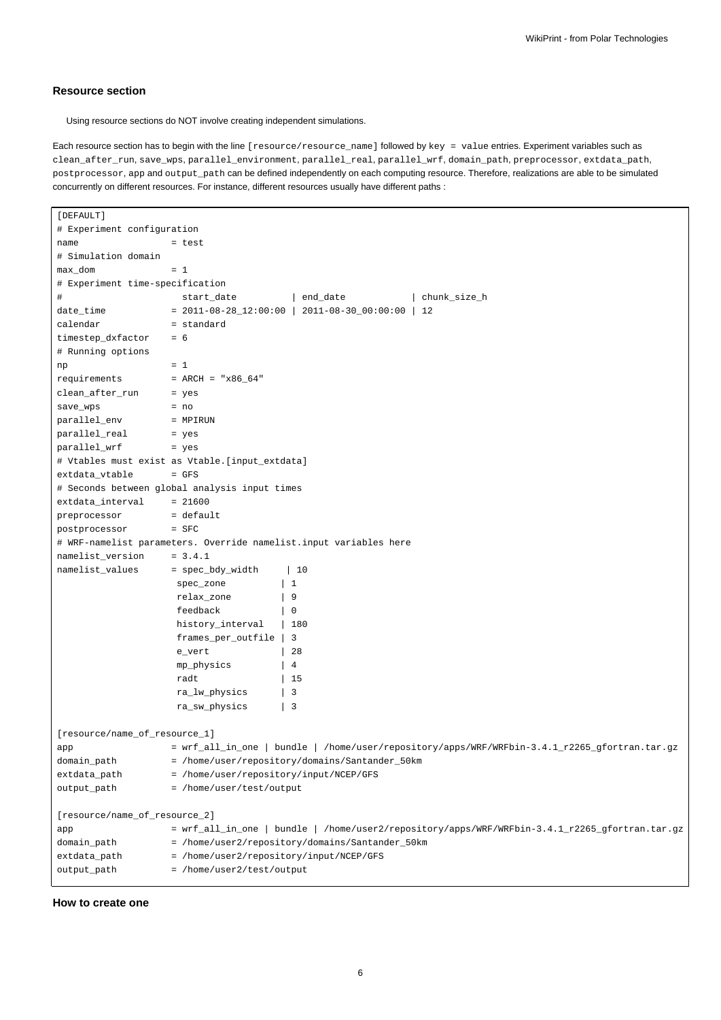#### **Resource section**

Using resource sections do NOT involve creating independent simulations.

Each resource section has to begin with the line [resource/resource\_name] followed by key = value entries. Experiment variables such as clean\_after\_run, save\_wps, parallel\_environment, parallel\_real, parallel\_wrf, domain\_path, preprocessor, extdata\_path, postprocessor, app and output\_path can be defined independently on each computing resource. Therefore, realizations are able to be simulated concurrently on different resources. For instance, different resources usually have different paths :

```
[DEFAULT]
# Experiment configuration
name = test
# Simulation domain
max_d dom = 1# Experiment time-specification
# start_date | end_date | chunk_size_h
date_time = 2011-08-28_12:00:00 | 2011-08-30_00:00:00 | 12
calendar = standard
timestep_dxfactor = 6
# Running options
np = 1requirements = ARCH = "x86_64"clean_after_run = yes
save_wps = no
parallel_env = MPIRUN
parallel_real = yes
parallel_wrf = yes
# Vtables must exist as Vtable.[input_extdata]
extdata_vtable = GFS
# Seconds between global analysis input times
extdata_interval = 21600
preprocessor = default
postprocessor = SFC
# WRF-namelist parameters. Override namelist.input variables here
namelist_version = 3.4.1
namelist_values = spec_bdy_width | 10
                 spec_zone | 1
                 relax_zone | 9
                 feedback | 0
                 history_interval | 180
                 frames_per_outfile | 3
                 e_vert | 28
                 mp_physics | 4
                 radt | 15
                 ra_lw_physics | 3
                 ra_sw_physics | 3
[resource/name_of_resource_1]
app = \text{wrf\_all\_in\_one} | bundle | /home/user/repository/apps/WRF/WRFbin-3.4.1_r2265_gfortran.tar.gz
domain_path = /home/user/repository/domains/Santander_50km
extdata_path = /home/user/repository/input/NCEP/GFS
output_path = /home/user/test/output
[resource/name_of_resource_2]
app = wrf_all_in_one | bundle | /home/user2/repository/apps/WRF/WRFbin-3.4.1_r2265_gfortran.tar.gz
domain_path = /home/user2/repository/domains/Santander_50km
extdata_path = /home/user2/repository/input/NCEP/GFS
output_path = /home/user2/test/output
```
#### **How to create one**